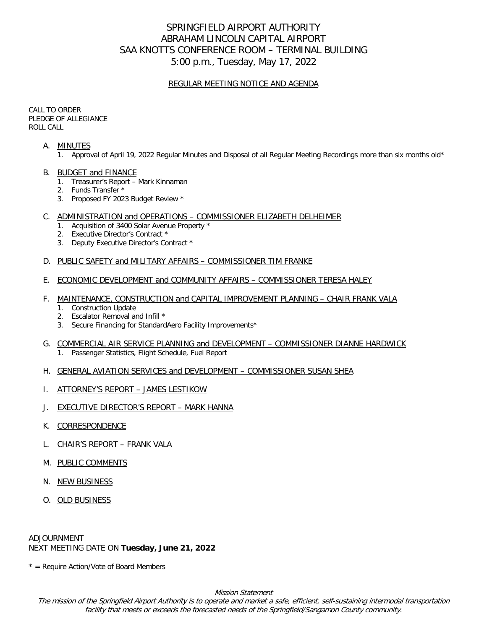# SPRINGFIELD AIRPORT AUTHORITY ABRAHAM LINCOLN CAPITAL AIRPORT SAA KNOTTS CONFERENCE ROOM – TERMINAL BUILDING 5:00 p.m., Tuesday, May 17, 2022

## REGULAR MEETING NOTICE AND AGENDA

CALL TO ORDER PLEDGE OF ALLEGIANCE ROLL CALL

## A. MINUTES

- 1. Approval of April 19, 2022 Regular Minutes and Disposal of all Regular Meeting Recordings more than six months old\*
- B. BUDGET and FINANCE
	- 1. Treasurer's Report Mark Kinnaman
	- 2. Funds Transfer \*
	- 3. Proposed FY 2023 Budget Review \*

### C. ADMINISTRATION and OPERATIONS – COMMISSIONER ELIZABETH DELHEIMER

- 1. Acquisition of 3400 Solar Avenue Property \*
- 2. Executive Director's Contract \*
- 3. Deputy Executive Director's Contract \*

## D. PUBLIC SAFETY and MILITARY AFFAIRS - COMMISSIONER TIM FRANKE

E. ECONOMIC DEVELOPMENT and COMMUNITY AFFAIRS – COMMISSIONER TERESA HALEY

#### F. MAINTENANCE, CONSTRUCTION and CAPITAL IMPROVEMENT PLANNING – CHAIR FRANK VALA

- 1. Construction Update
- 2. Escalator Removal and Infill \*
- 3. Secure Financing for StandardAero Facility Improvements\*
- G. COMMERCIAL AIR SERVICE PLANNING and DEVELOPMENT COMMISSIONER DIANNE HARDWICK 1. Passenger Statistics, Flight Schedule, Fuel Report
- H. GENERAL AVIATION SERVICES and DEVELOPMENT COMMISSIONER SUSAN SHEA
- I. ATTORNEY'S REPORT JAMES LESTIKOW
- J. EXECUTIVE DIRECTOR'S REPORT MARK HANNA
- K. CORRESPONDENCE
- L. CHAIR'S REPORT FRANK VALA
- M. PUBLIC COMMENTS
- N. NEW BUSINESS
- O. OLD BUSINESS

ADJOURNMENT NEXT MEETING DATE ON **Tuesday, June 21, 2022**

 $*$  = Require Action/Vote of Board Members

Mission Statement

The mission of the Springfield Airport Authority is to operate and market a safe, efficient, self-sustaining intermodal transportation facility that meets or exceeds the forecasted needs of the Springfield/Sangamon County community.